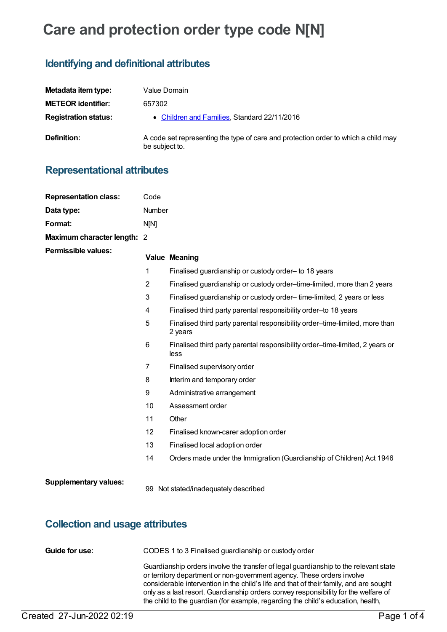# **Care and protection order type code N[N]**

# **Identifying and definitional attributes**

| Metadata item type:         | Value Domain                                                                                         |
|-----------------------------|------------------------------------------------------------------------------------------------------|
| <b>METEOR identifier:</b>   | 657302                                                                                               |
| <b>Registration status:</b> | • Children and Families, Standard 22/11/2016                                                         |
| Definition:                 | A code set representing the type of care and protection order to which a child may<br>be subject to. |

### **Representational attributes**

| <b>Representation class:</b> | Code           |                                                                                        |  |
|------------------------------|----------------|----------------------------------------------------------------------------------------|--|
| Data type:                   | Number         |                                                                                        |  |
| Format:                      | N[N]           |                                                                                        |  |
| Maximum character length: 2  |                |                                                                                        |  |
| <b>Permissible values:</b>   |                | <b>Value Meaning</b>                                                                   |  |
|                              | 1              | Finalised guardianship or custody order- to 18 years                                   |  |
|                              | $\overline{2}$ | Finalised guardianship or custody order-time-limited, more than 2 years                |  |
|                              | 3              | Finalised guardianship or custody order-time-limited, 2 years or less                  |  |
|                              | 4              | Finalised third party parental responsibility order-to 18 years                        |  |
|                              | 5              | Finalised third party parental responsibility order-time-limited, more than<br>2 years |  |
|                              | 6              | Finalised third party parental responsibility order-time-limited, 2 years or<br>less   |  |
|                              | 7              | Finalised supervisory order                                                            |  |
|                              | 8              | Interim and temporary order                                                            |  |
|                              | 9              | Administrative arrangement                                                             |  |
|                              | 10             | Assessment order                                                                       |  |
|                              | 11             | Other                                                                                  |  |
|                              | 12             | Finalised known-carer adoption order                                                   |  |
|                              | 13             | Finalised local adoption order                                                         |  |
|                              | 14             | Orders made under the Immigration (Guardianship of Children) Act 1946                  |  |
| <b>Supplementary values:</b> |                | 99 Not stated/inadequately described                                                   |  |

# **Collection and usage attributes**

| Guide for use: | CODES 1 to 3 Finalised guardianship or custody order                                                                                                                                                                                                                                                                                                                                                                                |
|----------------|-------------------------------------------------------------------------------------------------------------------------------------------------------------------------------------------------------------------------------------------------------------------------------------------------------------------------------------------------------------------------------------------------------------------------------------|
|                | Guardianship orders involve the transfer of legal guardianship to the relevant state<br>or territory department or non-government agency. These orders involve<br>considerable intervention in the child's life and that of their family, and are sought<br>only as a last resort. Guardianship orders convey responsibility for the welfare of<br>the child to the guardian (for example, regarding the child's education, health, |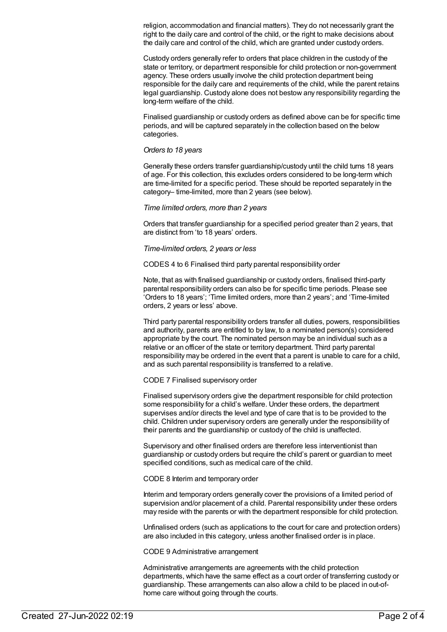religion, accommodation and financial matters). They do not necessarily grant the right to the daily care and control of the child, or the right to make decisions about the daily care and control of the child, which are granted under custody orders.

Custody orders generally refer to orders that place children in the custody of the state or territory, or department responsible for child protection or non-government agency. These orders usually involve the child protection department being responsible for the daily care and requirements of the child, while the parent retains legal guardianship. Custody alone does not bestow any responsibility regarding the long-term welfare of the child.

Finalised guardianship or custody orders as defined above can be for specific time periods, and will be captured separately in the collection based on the below categories.

#### *Orders to 18 years*

Generally these orders transfer guardianship/custody until the child turns 18 years of age. For this collection, this excludes orders considered to be long-term which are time-limited for a specific period. These should be reported separately in the category– time-limited, more than 2 years (see below).

#### *Time limited orders, more than 2 years*

Orders that transfer guardianship for a specified period greater than 2 years, that are distinct from 'to 18 years' orders.

#### *Time-limited orders, 2 years or less*

CODES 4 to 6 Finalised third party parental responsibility order

Note, that as with finalised guardianship or custody orders, finalised third-party parental responsibility orders can also be for specific time periods. Please see 'Orders to 18 years'; 'Time limited orders, more than 2 years'; and 'Time-limited orders, 2 years or less' above.

Third party parental responsibility orders transfer all duties, powers, responsibilities and authority, parents are entitled to by law, to a nominated person(s) considered appropriate by the court. The nominated person may be an individual such as a relative or an officer of the state or territory department. Third party parental responsibility may be ordered in the event that a parent is unable to care for a child, and as such parental responsibility is transferred to a relative.

CODE 7 Finalised supervisory order

Finalised supervisory orders give the department responsible for child protection some responsibility for a child's welfare. Under these orders, the department supervises and/or directs the level and type of care that is to be provided to the child. Children under supervisory orders are generally under the responsibility of their parents and the guardianship or custody of the child is unaffected.

Supervisory and other finalised orders are therefore less interventionist than guardianship or custody orders but require the child's parent or guardian to meet specified conditions, such as medical care of the child.

#### CODE 8 Interim and temporary order

Interim and temporary orders generally cover the provisions of a limited period of supervision and/or placement of a child. Parental responsibility under these orders may reside with the parents or with the department responsible for child protection.

Unfinalised orders (such as applications to the court for care and protection orders) are also included in this category, unless another finalised order is in place.

CODE 9 Administrative arrangement

Administrative arrangements are agreements with the child protection departments, which have the same effect as a court order of transferring custody or guardianship. These arrangements can also allow a child to be placed in out-ofhome care without going through the courts.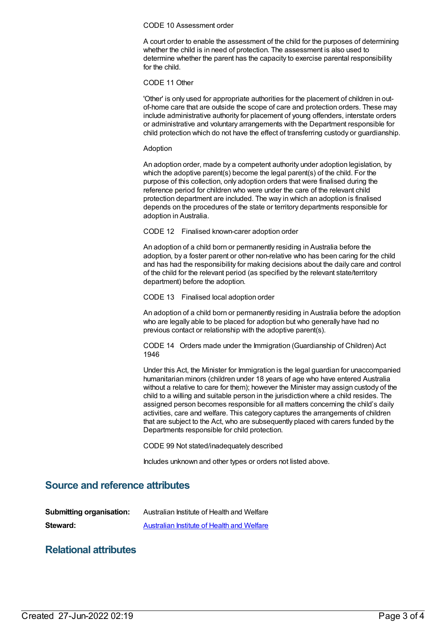#### CODE 10 Assessment order

A court order to enable the assessment of the child for the purposes of determining whether the child is in need of protection. The assessment is also used to determine whether the parent has the capacity to exercise parental responsibility for the child.

CODE 11 Other

'Other' is only used for appropriate authorities for the placement of children in outof-home care that are outside the scope of care and protection orders. These may include administrative authority for placement of young offenders, interstate orders or administrative and voluntary arrangements with the Department responsible for child protection which do not have the effect of transferring custody or guardianship.

#### Adoption

An adoption order, made by a competent authority under adoption legislation, by which the adoptive parent(s) become the legal parent(s) of the child. For the purpose of this collection, only adoption orders that were finalised during the reference period for children who were under the care of the relevant child protection department are included. The way in which an adoption is finalised depends on the procedures of the state or territory departments responsible for adoption in Australia.

CODE 12 Finalised known-carer adoption order

An adoption of a child born or permanently residing in Australia before the adoption, by a foster parent or other non-relative who has been caring for the child and has had the responsibility for making decisions about the daily care and control of the child for the relevant period (as specified by the relevant state/territory department) before the adoption.

CODE 13 Finalised local adoption order

An adoption of a child born or permanently residing in Australia before the adoption who are legally able to be placed for adoption but who generally have had no previous contact or relationship with the adoptive parent(s).

CODE 14 Orders made under the Immigration (Guardianship of Children) Act 1946

Under this Act, the Minister for Immigration is the legal guardian for unaccompanied humanitarian minors (children under 18 years of age who have entered Australia without a relative to care for them); however the Minister may assign custody of the child to a willing and suitable person in the jurisdiction where a child resides. The assigned person becomes responsible for all matters concerning the child's daily activities, care and welfare. This category captures the arrangements of children that are subject to the Act, who are subsequently placed with carers funded by the Departments responsible for child protection.

CODE 99 Not stated/inadequately described

Includes unknown and other types or orders not listed above.

### **Source and reference attributes**

| <b>Submitting organisation:</b> | Australian Institute of Health and Welfare        |
|---------------------------------|---------------------------------------------------|
| Steward:                        | <b>Australian Institute of Health and Welfare</b> |

### **Relational attributes**